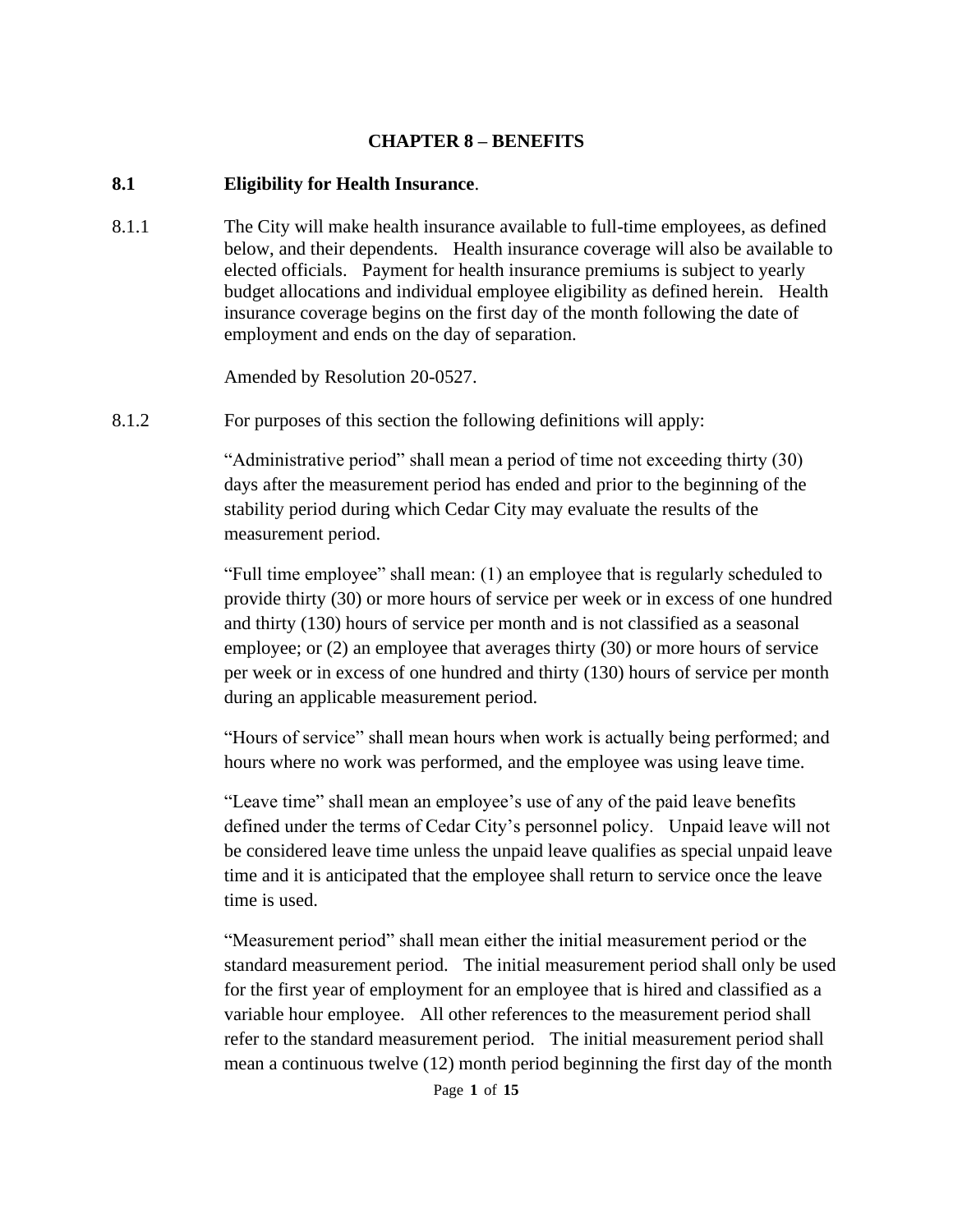#### **CHAPTER 8 – BENEFITS**

#### **8.1 Eligibility for Health Insurance**.

8.1.1 The City will make health insurance available to full-time employees, as defined below, and their dependents. Health insurance coverage will also be available to elected officials. Payment for health insurance premiums is subject to yearly budget allocations and individual employee eligibility as defined herein. Health insurance coverage begins on the first day of the month following the date of employment and ends on the day of separation.

Amended by Resolution 20-0527.

8.1.2 For purposes of this section the following definitions will apply:

"Administrative period" shall mean a period of time not exceeding thirty (30) days after the measurement period has ended and prior to the beginning of the stability period during which Cedar City may evaluate the results of the measurement period.

"Full time employee" shall mean: (1) an employee that is regularly scheduled to provide thirty (30) or more hours of service per week or in excess of one hundred and thirty (130) hours of service per month and is not classified as a seasonal employee; or (2) an employee that averages thirty (30) or more hours of service per week or in excess of one hundred and thirty (130) hours of service per month during an applicable measurement period.

"Hours of service" shall mean hours when work is actually being performed; and hours where no work was performed, and the employee was using leave time.

"Leave time" shall mean an employee's use of any of the paid leave benefits defined under the terms of Cedar City's personnel policy. Unpaid leave will not be considered leave time unless the unpaid leave qualifies as special unpaid leave time and it is anticipated that the employee shall return to service once the leave time is used.

"Measurement period" shall mean either the initial measurement period or the standard measurement period. The initial measurement period shall only be used for the first year of employment for an employee that is hired and classified as a variable hour employee. All other references to the measurement period shall refer to the standard measurement period. The initial measurement period shall mean a continuous twelve (12) month period beginning the first day of the month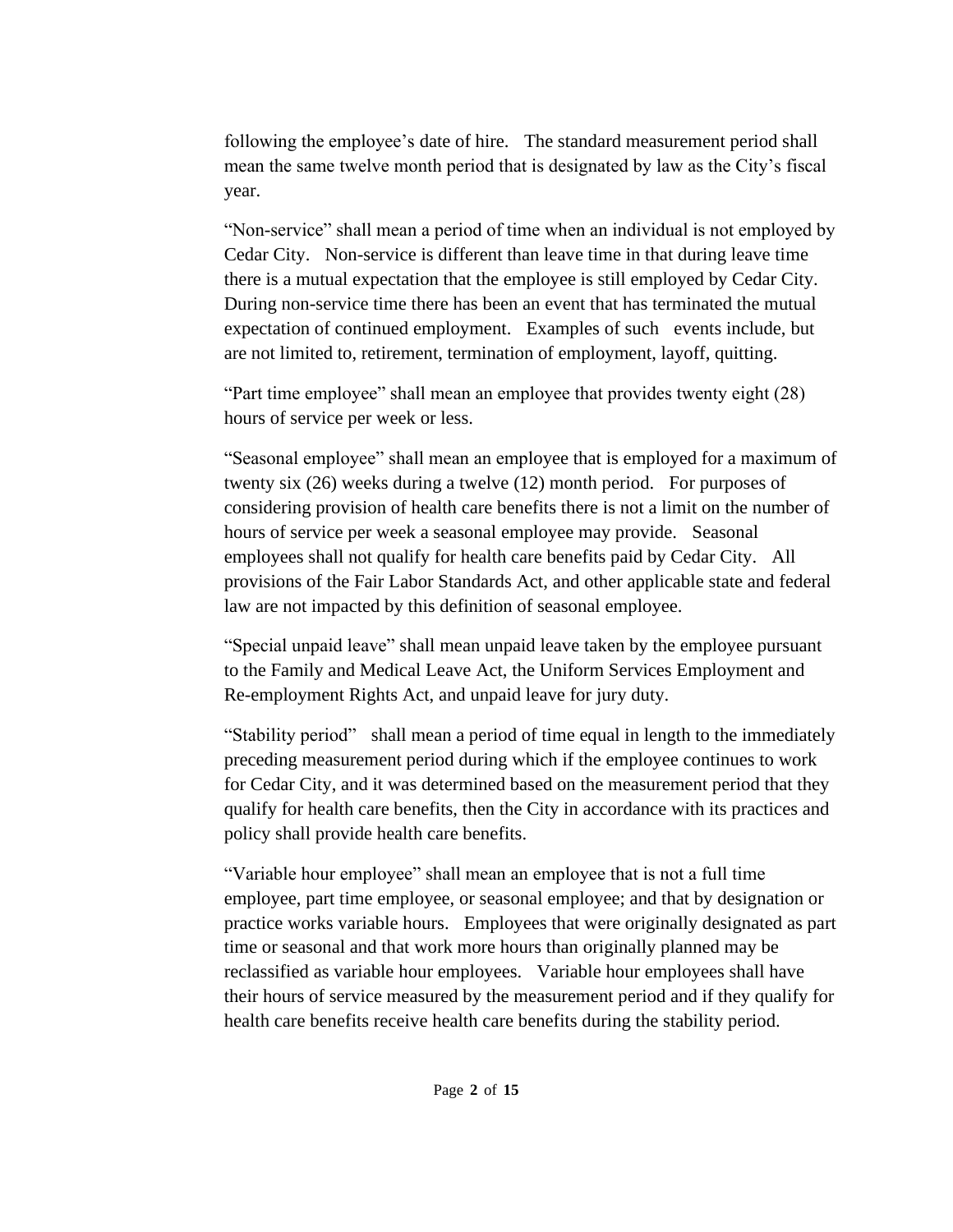following the employee's date of hire. The standard measurement period shall mean the same twelve month period that is designated by law as the City's fiscal year.

"Non-service" shall mean a period of time when an individual is not employed by Cedar City. Non-service is different than leave time in that during leave time there is a mutual expectation that the employee is still employed by Cedar City. During non-service time there has been an event that has terminated the mutual expectation of continued employment. Examples of such events include, but are not limited to, retirement, termination of employment, layoff, quitting.

"Part time employee" shall mean an employee that provides twenty eight (28) hours of service per week or less.

"Seasonal employee" shall mean an employee that is employed for a maximum of twenty six (26) weeks during a twelve (12) month period. For purposes of considering provision of health care benefits there is not a limit on the number of hours of service per week a seasonal employee may provide. Seasonal employees shall not qualify for health care benefits paid by Cedar City. All provisions of the Fair Labor Standards Act, and other applicable state and federal law are not impacted by this definition of seasonal employee.

"Special unpaid leave" shall mean unpaid leave taken by the employee pursuant to the Family and Medical Leave Act, the Uniform Services Employment and Re-employment Rights Act, and unpaid leave for jury duty.

"Stability period" shall mean a period of time equal in length to the immediately preceding measurement period during which if the employee continues to work for Cedar City, and it was determined based on the measurement period that they qualify for health care benefits, then the City in accordance with its practices and policy shall provide health care benefits.

"Variable hour employee" shall mean an employee that is not a full time employee, part time employee, or seasonal employee; and that by designation or practice works variable hours. Employees that were originally designated as part time or seasonal and that work more hours than originally planned may be reclassified as variable hour employees. Variable hour employees shall have their hours of service measured by the measurement period and if they qualify for health care benefits receive health care benefits during the stability period.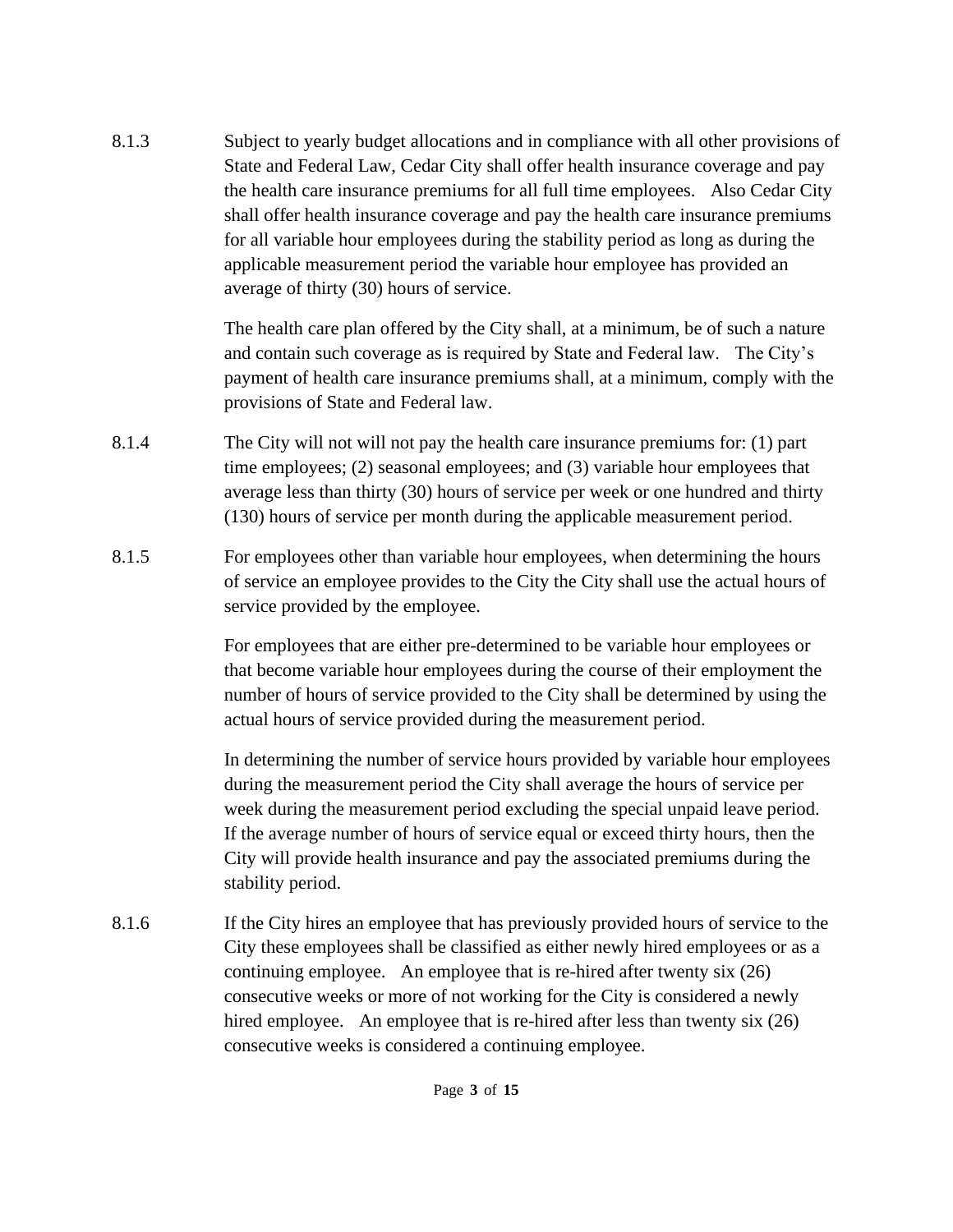8.1.3 Subject to yearly budget allocations and in compliance with all other provisions of State and Federal Law, Cedar City shall offer health insurance coverage and pay the health care insurance premiums for all full time employees. Also Cedar City shall offer health insurance coverage and pay the health care insurance premiums for all variable hour employees during the stability period as long as during the applicable measurement period the variable hour employee has provided an average of thirty (30) hours of service.

> The health care plan offered by the City shall, at a minimum, be of such a nature and contain such coverage as is required by State and Federal law. The City's payment of health care insurance premiums shall, at a minimum, comply with the provisions of State and Federal law.

- 8.1.4 The City will not will not pay the health care insurance premiums for: (1) part time employees; (2) seasonal employees; and (3) variable hour employees that average less than thirty (30) hours of service per week or one hundred and thirty (130) hours of service per month during the applicable measurement period.
- 8.1.5 For employees other than variable hour employees, when determining the hours of service an employee provides to the City the City shall use the actual hours of service provided by the employee.

For employees that are either pre-determined to be variable hour employees or that become variable hour employees during the course of their employment the number of hours of service provided to the City shall be determined by using the actual hours of service provided during the measurement period.

In determining the number of service hours provided by variable hour employees during the measurement period the City shall average the hours of service per week during the measurement period excluding the special unpaid leave period. If the average number of hours of service equal or exceed thirty hours, then the City will provide health insurance and pay the associated premiums during the stability period.

8.1.6 If the City hires an employee that has previously provided hours of service to the City these employees shall be classified as either newly hired employees or as a continuing employee. An employee that is re-hired after twenty six (26) consecutive weeks or more of not working for the City is considered a newly hired employee. An employee that is re-hired after less than twenty six (26) consecutive weeks is considered a continuing employee.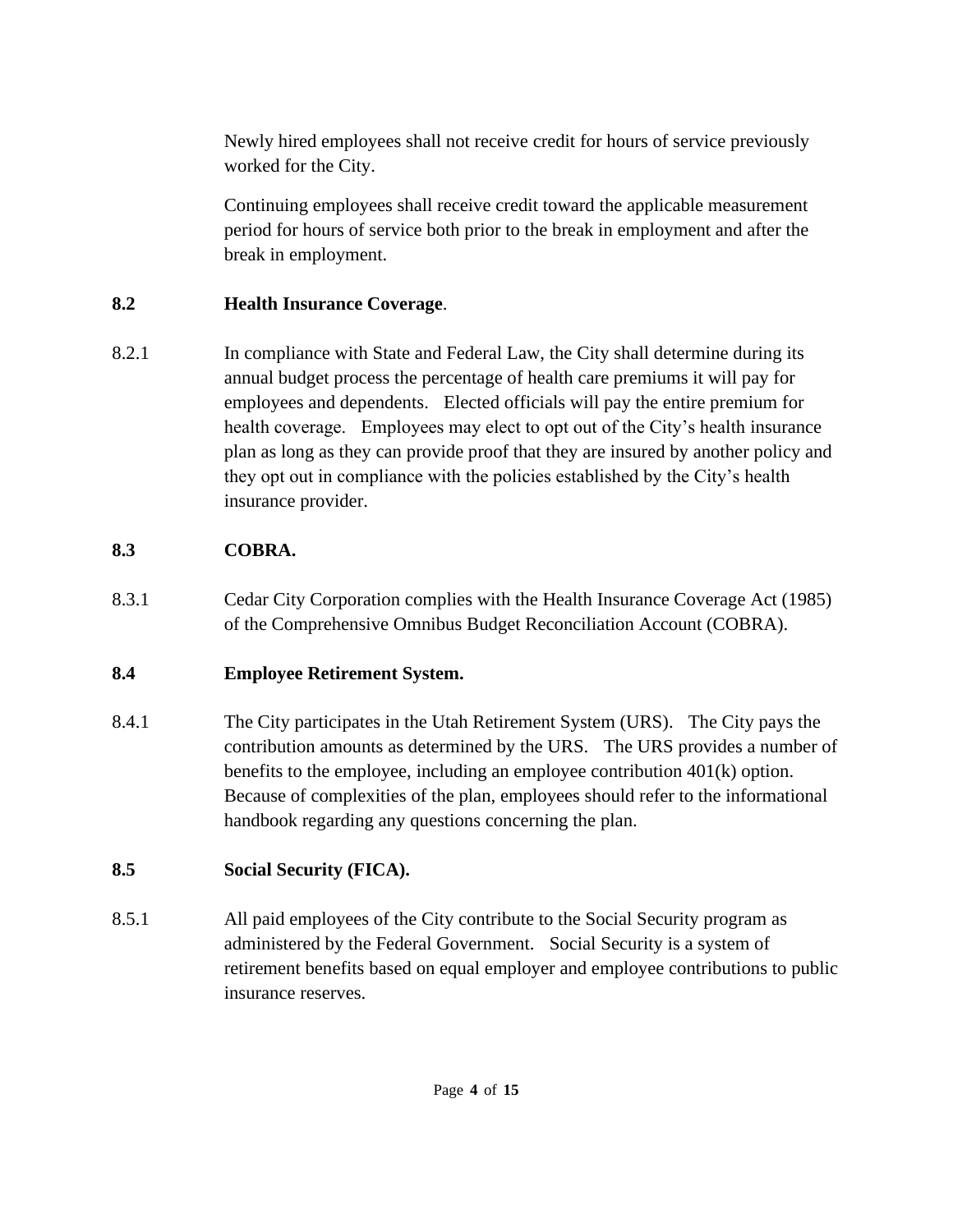Newly hired employees shall not receive credit for hours of service previously worked for the City.

Continuing employees shall receive credit toward the applicable measurement period for hours of service both prior to the break in employment and after the break in employment.

### **8.2 Health Insurance Coverage**.

8.2.1 In compliance with State and Federal Law, the City shall determine during its annual budget process the percentage of health care premiums it will pay for employees and dependents. Elected officials will pay the entire premium for health coverage. Employees may elect to opt out of the City's health insurance plan as long as they can provide proof that they are insured by another policy and they opt out in compliance with the policies established by the City's health insurance provider.

## **8.3 COBRA.**

8.3.1 Cedar City Corporation complies with the Health Insurance Coverage Act (1985) of the Comprehensive Omnibus Budget Reconciliation Account (COBRA).

## **8.4 Employee Retirement System.**

8.4.1 The City participates in the Utah Retirement System (URS). The City pays the contribution amounts as determined by the URS. The URS provides a number of benefits to the employee, including an employee contribution 401(k) option. Because of complexities of the plan, employees should refer to the informational handbook regarding any questions concerning the plan.

## **8.5 Social Security (FICA).**

8.5.1 All paid employees of the City contribute to the Social Security program as administered by the Federal Government. Social Security is a system of retirement benefits based on equal employer and employee contributions to public insurance reserves.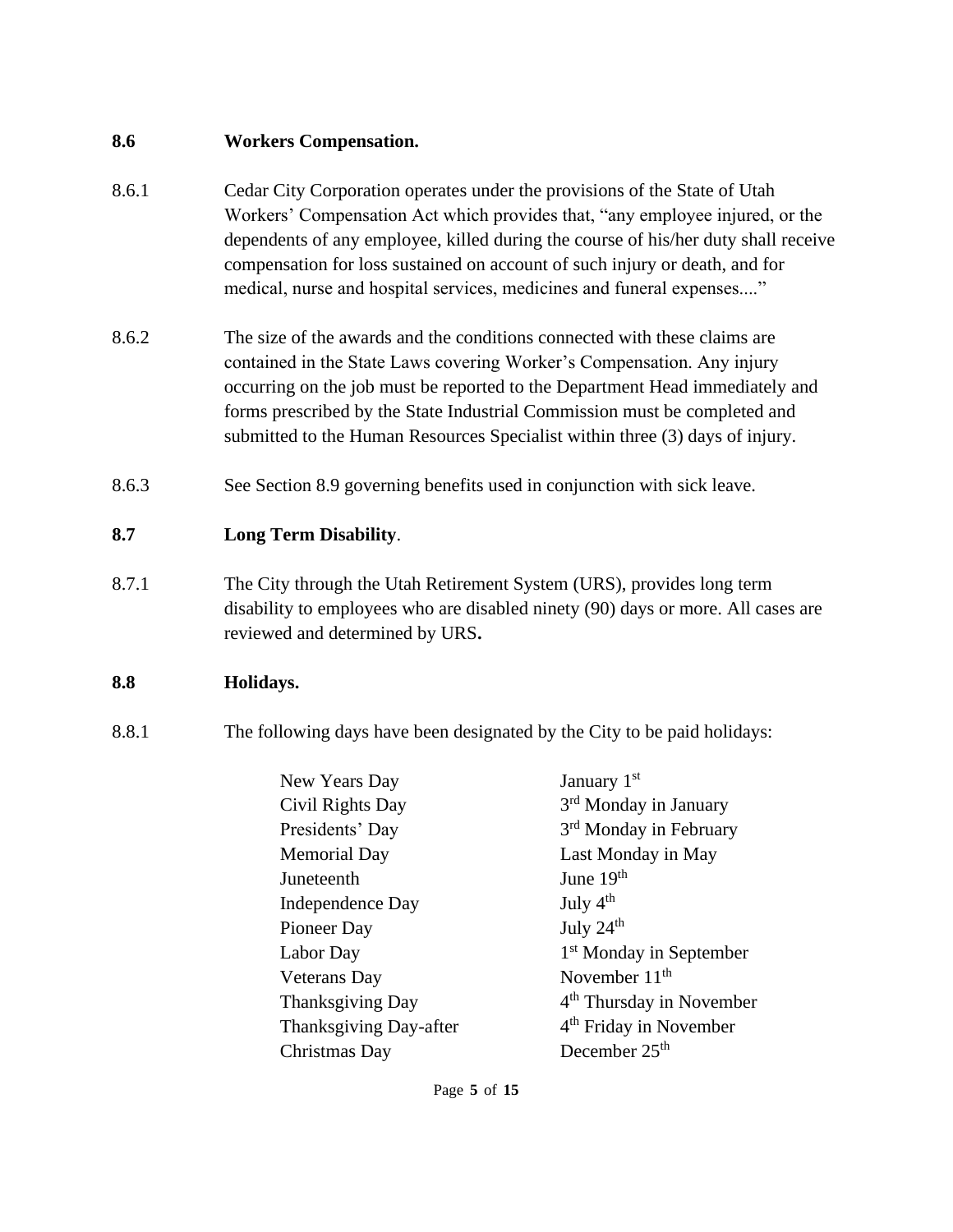#### **8.6 Workers Compensation.**

- 8.6.1 Cedar City Corporation operates under the provisions of the State of Utah Workers' Compensation Act which provides that, "any employee injured, or the dependents of any employee, killed during the course of his/her duty shall receive compensation for loss sustained on account of such injury or death, and for medical, nurse and hospital services, medicines and funeral expenses...."
- 8.6.2 The size of the awards and the conditions connected with these claims are contained in the State Laws covering Worker's Compensation. Any injury occurring on the job must be reported to the Department Head immediately and forms prescribed by the State Industrial Commission must be completed and submitted to the Human Resources Specialist within three (3) days of injury.
- 8.6.3 See Section 8.9 governing benefits used in conjunction with sick leave.

### **8.7 Long Term Disability**.

8.7.1 The City through the Utah Retirement System (URS), provides long term disability to employees who are disabled ninety (90) days or more. All cases are reviewed and determined by URS**.**

### **8.8 Holidays.**

8.8.1 The following days have been designated by the City to be paid holidays:

| New Years Day          | January 1 <sup>st</sup>              |
|------------------------|--------------------------------------|
| Civil Rights Day       | 3 <sup>rd</sup> Monday in January    |
| Presidents' Day        | 3 <sup>rd</sup> Monday in February   |
| <b>Memorial Day</b>    | Last Monday in May                   |
| Juneteenth             | June $19th$                          |
| Independence Day       | July $4th$                           |
| Pioneer Day            | July 24 <sup>th</sup>                |
| Labor Day              | 1 <sup>st</sup> Monday in September  |
| <b>Veterans</b> Day    | November $11th$                      |
| Thanksgiving Day       | 4 <sup>th</sup> Thursday in November |
| Thanksgiving Day-after | 4 <sup>th</sup> Friday in November   |
| Christmas Day          | December 25 <sup>th</sup>            |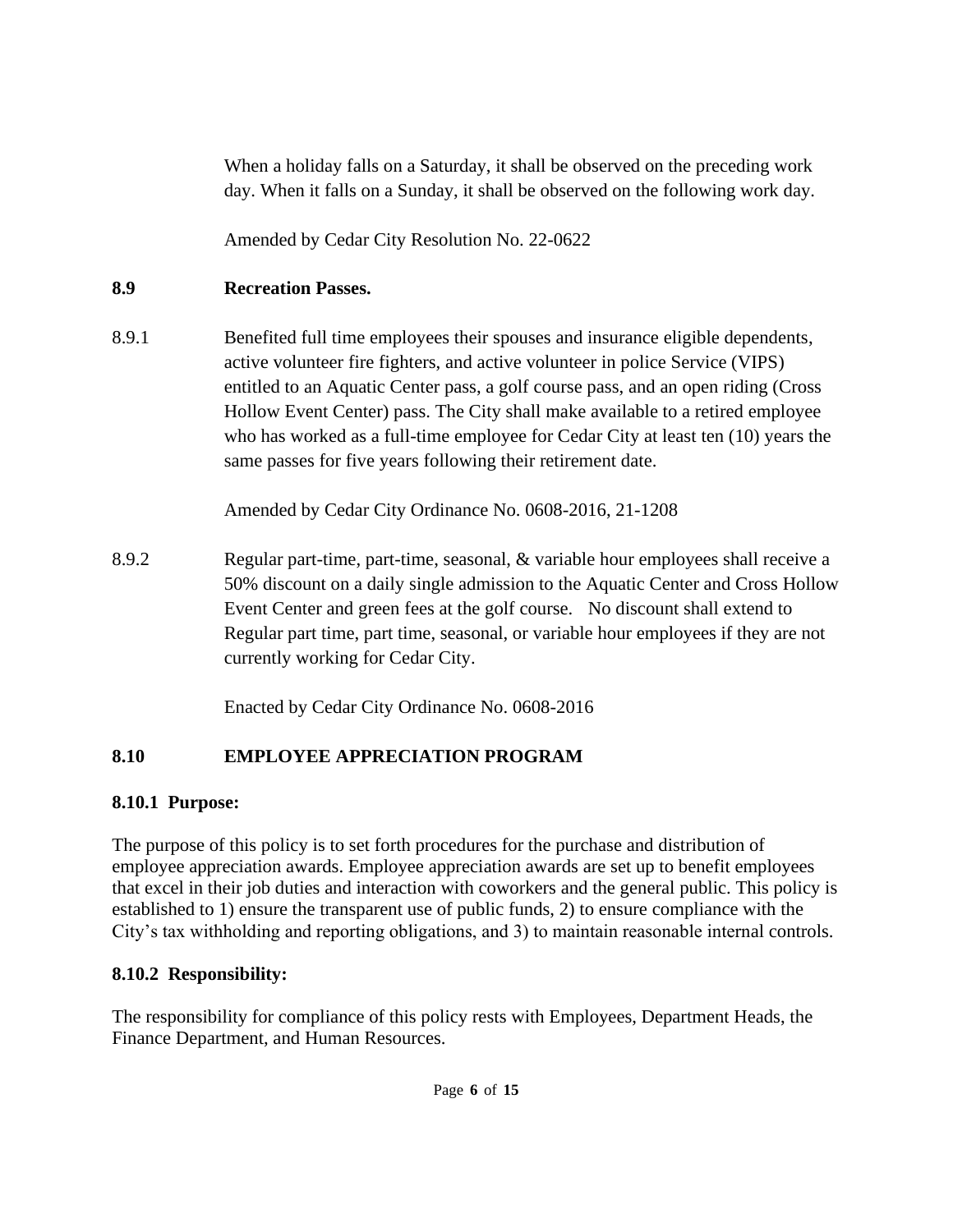When a holiday falls on a Saturday, it shall be observed on the preceding work day. When it falls on a Sunday, it shall be observed on the following work day.

Amended by Cedar City Resolution No. 22-0622

### **8.9 Recreation Passes.**

8.9.1 Benefited full time employees their spouses and insurance eligible dependents, active volunteer fire fighters, and active volunteer in police Service (VIPS) entitled to an Aquatic Center pass, a golf course pass, and an open riding (Cross Hollow Event Center) pass. The City shall make available to a retired employee who has worked as a full-time employee for Cedar City at least ten (10) years the same passes for five years following their retirement date.

Amended by Cedar City Ordinance No. 0608-2016, 21-1208

8.9.2 Regular part-time, part-time, seasonal, & variable hour employees shall receive a 50% discount on a daily single admission to the Aquatic Center and Cross Hollow Event Center and green fees at the golf course. No discount shall extend to Regular part time, part time, seasonal, or variable hour employees if they are not currently working for Cedar City.

Enacted by Cedar City Ordinance No. 0608-2016

## **8.10 EMPLOYEE APPRECIATION PROGRAM**

## **8.10.1 Purpose:**

The purpose of this policy is to set forth procedures for the purchase and distribution of employee appreciation awards. Employee appreciation awards are set up to benefit employees that excel in their job duties and interaction with coworkers and the general public. This policy is established to 1) ensure the transparent use of public funds, 2) to ensure compliance with the City's tax withholding and reporting obligations, and 3) to maintain reasonable internal controls.

## **8.10.2 Responsibility:**

The responsibility for compliance of this policy rests with Employees, Department Heads, the Finance Department, and Human Resources.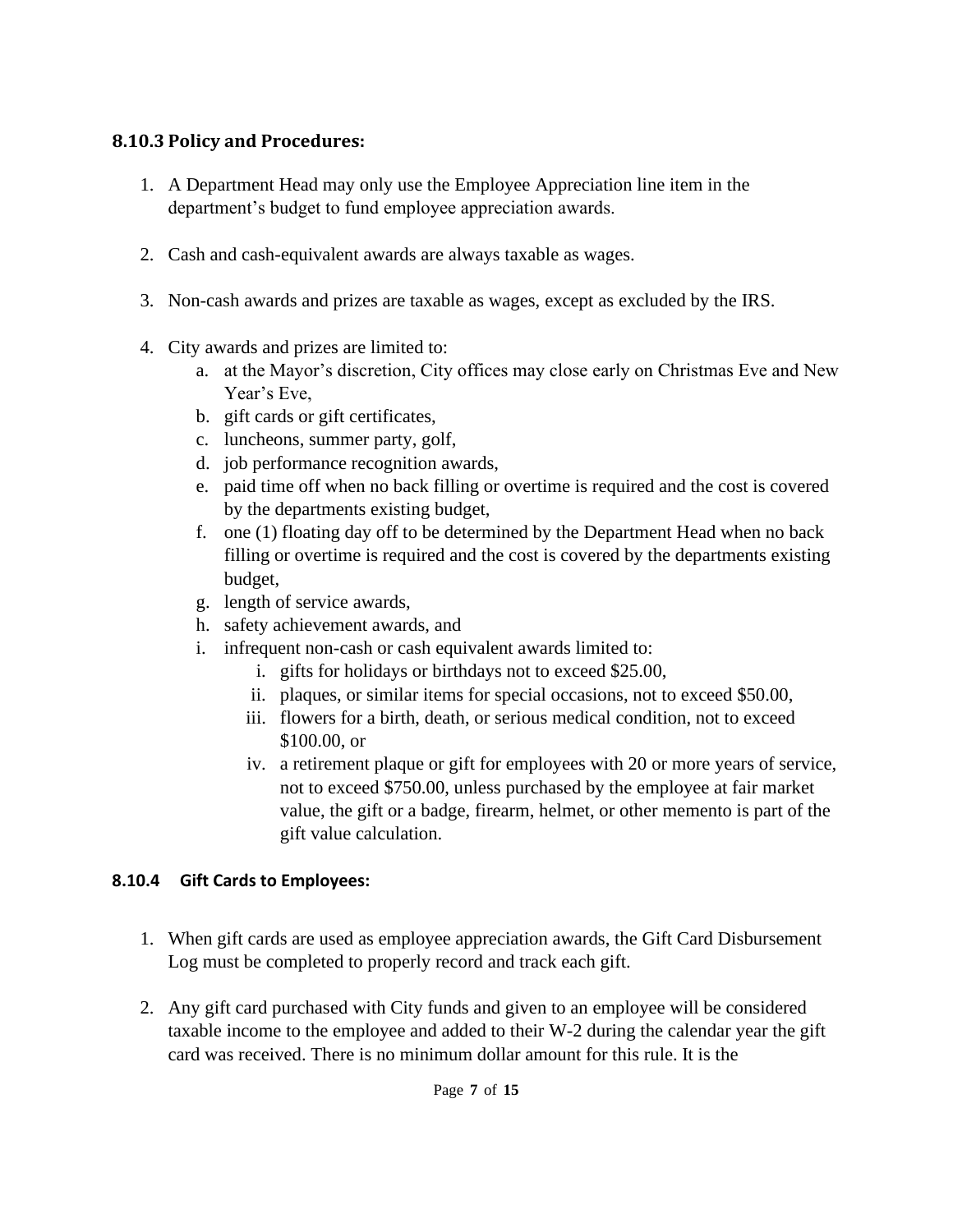### **8.10.3 Policy and Procedures:**

- 1. A Department Head may only use the Employee Appreciation line item in the department's budget to fund employee appreciation awards.
- 2. Cash and cash-equivalent awards are always taxable as wages.
- 3. Non-cash awards and prizes are taxable as wages, except as excluded by the IRS.
- 4. City awards and prizes are limited to:
	- a. at the Mayor's discretion, City offices may close early on Christmas Eve and New Year's Eve,
	- b. gift cards or gift certificates,
	- c. luncheons, summer party, golf,
	- d. job performance recognition awards,
	- e. paid time off when no back filling or overtime is required and the cost is covered by the departments existing budget,
	- f. one (1) floating day off to be determined by the Department Head when no back filling or overtime is required and the cost is covered by the departments existing budget,
	- g. length of service awards,
	- h. safety achievement awards, and
	- i. infrequent non-cash or cash equivalent awards limited to:
		- i. gifts for holidays or birthdays not to exceed \$25.00,
		- ii. plaques, or similar items for special occasions, not to exceed \$50.00,
		- iii. flowers for a birth, death, or serious medical condition, not to exceed \$100.00, or
		- iv. a retirement plaque or gift for employees with 20 or more years of service, not to exceed \$750.00, unless purchased by the employee at fair market value, the gift or a badge, firearm, helmet, or other memento is part of the gift value calculation.

## **8.10.4 Gift Cards to Employees:**

- 1. When gift cards are used as employee appreciation awards, the Gift Card Disbursement Log must be completed to properly record and track each gift.
- 2. Any gift card purchased with City funds and given to an employee will be considered taxable income to the employee and added to their W-2 during the calendar year the gift card was received. There is no minimum dollar amount for this rule. It is the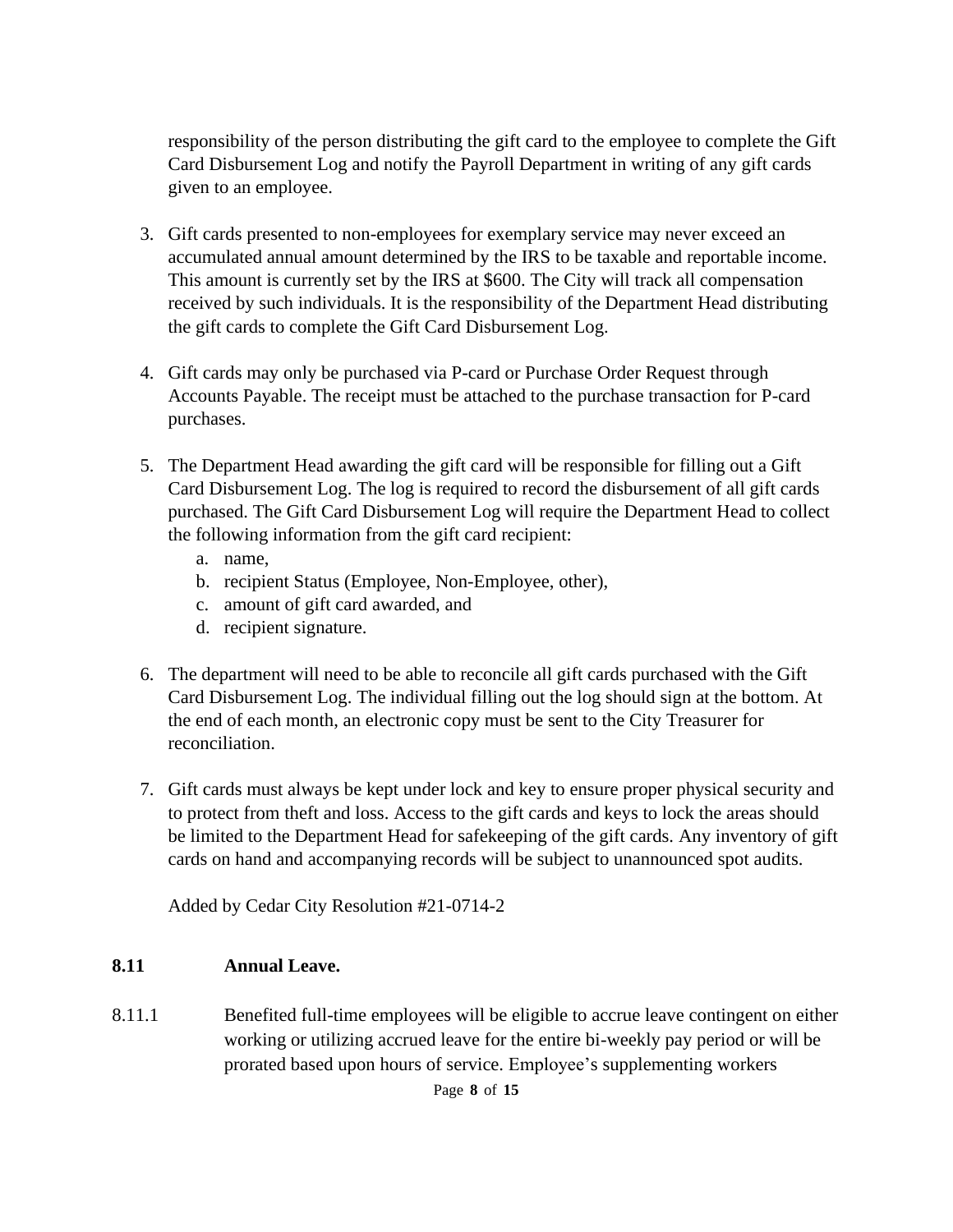responsibility of the person distributing the gift card to the employee to complete the Gift Card Disbursement Log and notify the Payroll Department in writing of any gift cards given to an employee.

- 3. Gift cards presented to non-employees for exemplary service may never exceed an accumulated annual amount determined by the IRS to be taxable and reportable income. This amount is currently set by the IRS at \$600. The City will track all compensation received by such individuals. It is the responsibility of the Department Head distributing the gift cards to complete the Gift Card Disbursement Log.
- 4. Gift cards may only be purchased via P-card or Purchase Order Request through Accounts Payable. The receipt must be attached to the purchase transaction for P-card purchases.
- 5. The Department Head awarding the gift card will be responsible for filling out a Gift Card Disbursement Log. The log is required to record the disbursement of all gift cards purchased. The Gift Card Disbursement Log will require the Department Head to collect the following information from the gift card recipient:
	- a. name,
	- b. recipient Status (Employee, Non-Employee, other),
	- c. amount of gift card awarded, and
	- d. recipient signature.
- 6. The department will need to be able to reconcile all gift cards purchased with the Gift Card Disbursement Log. The individual filling out the log should sign at the bottom. At the end of each month, an electronic copy must be sent to the City Treasurer for reconciliation.
- 7. Gift cards must always be kept under lock and key to ensure proper physical security and to protect from theft and loss. Access to the gift cards and keys to lock the areas should be limited to the Department Head for safekeeping of the gift cards. Any inventory of gift cards on hand and accompanying records will be subject to unannounced spot audits.

Added by Cedar City Resolution #21-0714-2

### **8.11 Annual Leave.**

8.11.1 Benefited full-time employees will be eligible to accrue leave contingent on either working or utilizing accrued leave for the entire bi-weekly pay period or will be prorated based upon hours of service. Employee's supplementing workers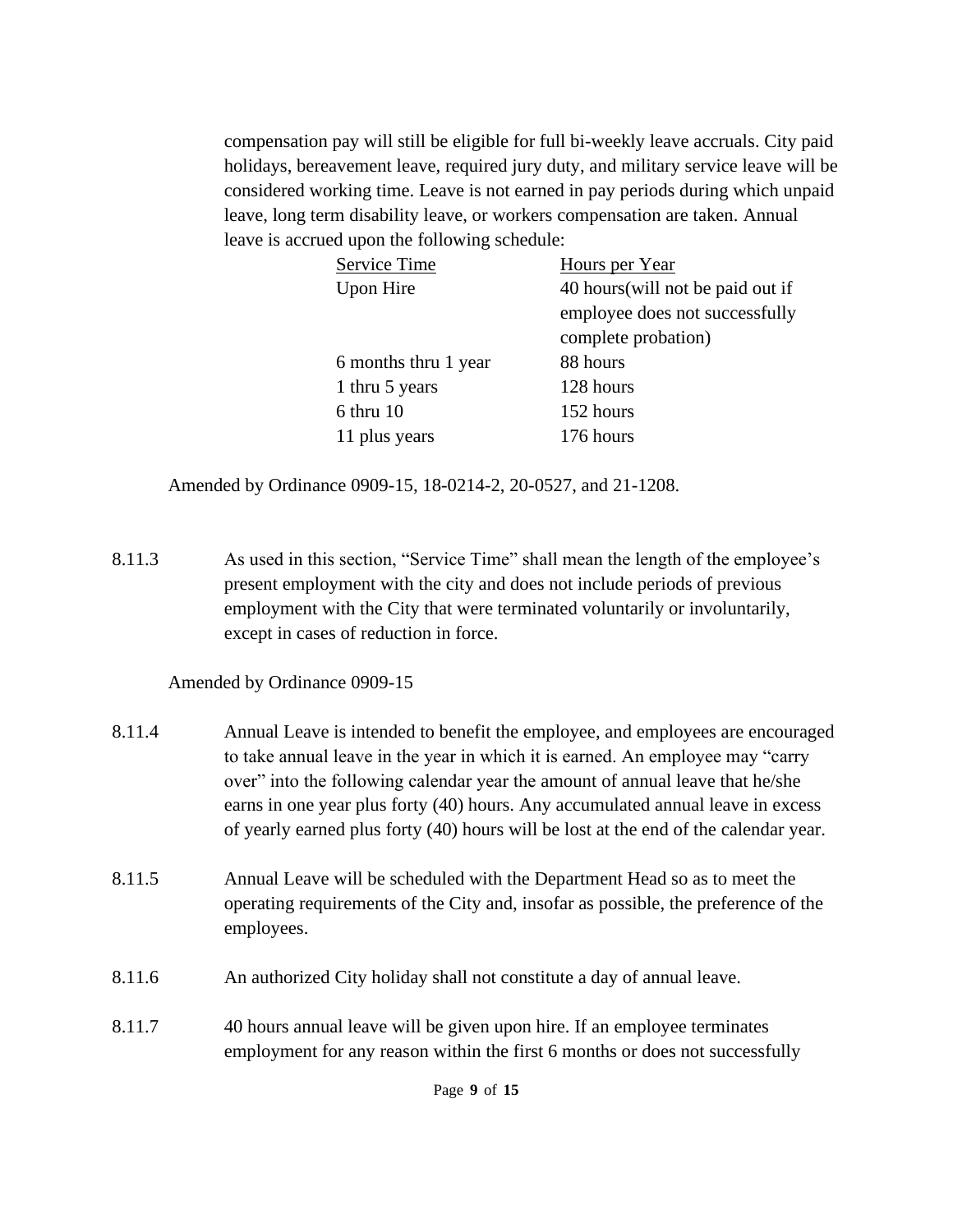compensation pay will still be eligible for full bi-weekly leave accruals. City paid holidays, bereavement leave, required jury duty, and military service leave will be considered working time. Leave is not earned in pay periods during which unpaid leave, long term disability leave, or workers compensation are taken. Annual leave is accrued upon the following schedule:

| <b>Service Time</b>  | Hours per Year                    |
|----------------------|-----------------------------------|
| Upon Hire            | 40 hours (will not be paid out if |
|                      | employee does not successfully    |
|                      | complete probation)               |
| 6 months thru 1 year | 88 hours                          |
| 1 thru 5 years       | 128 hours                         |
| $6$ thru $10$        | 152 hours                         |
| 11 plus years        | 176 hours                         |

Amended by Ordinance 0909-15, 18-0214-2, 20-0527, and 21-1208.

8.11.3 As used in this section, "Service Time" shall mean the length of the employee's present employment with the city and does not include periods of previous employment with the City that were terminated voluntarily or involuntarily, except in cases of reduction in force.

Amended by Ordinance 0909-15

- 8.11.4 Annual Leave is intended to benefit the employee, and employees are encouraged to take annual leave in the year in which it is earned. An employee may "carry over" into the following calendar year the amount of annual leave that he/she earns in one year plus forty (40) hours. Any accumulated annual leave in excess of yearly earned plus forty (40) hours will be lost at the end of the calendar year.
- 8.11.5 Annual Leave will be scheduled with the Department Head so as to meet the operating requirements of the City and, insofar as possible, the preference of the employees.
- 8.11.6 An authorized City holiday shall not constitute a day of annual leave.
- 8.11.7 40 hours annual leave will be given upon hire. If an employee terminates employment for any reason within the first 6 months or does not successfully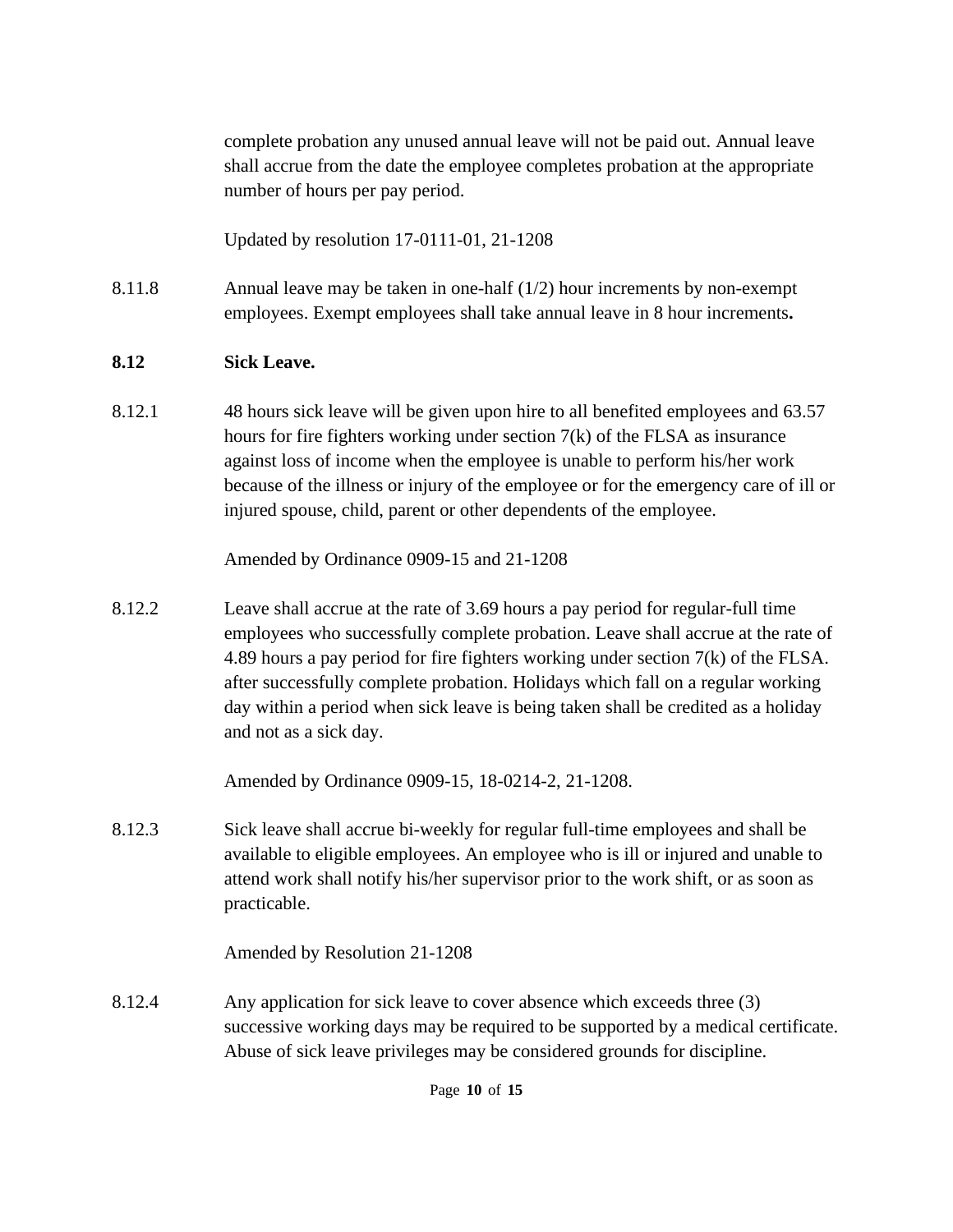complete probation any unused annual leave will not be paid out. Annual leave shall accrue from the date the employee completes probation at the appropriate number of hours per pay period.

Updated by resolution 17-0111-01, 21-1208

8.11.8 Annual leave may be taken in one-half (1/2) hour increments by non-exempt employees. Exempt employees shall take annual leave in 8 hour increments**.**

### **8.12 Sick Leave.**

8.12.1 48 hours sick leave will be given upon hire to all benefited employees and 63.57 hours for fire fighters working under section 7(k) of the FLSA as insurance against loss of income when the employee is unable to perform his/her work because of the illness or injury of the employee or for the emergency care of ill or injured spouse, child, parent or other dependents of the employee.

Amended by Ordinance 0909-15 and 21-1208

8.12.2 Leave shall accrue at the rate of 3.69 hours a pay period for regular-full time employees who successfully complete probation. Leave shall accrue at the rate of 4.89 hours a pay period for fire fighters working under section 7(k) of the FLSA. after successfully complete probation. Holidays which fall on a regular working day within a period when sick leave is being taken shall be credited as a holiday and not as a sick day.

Amended by Ordinance 0909-15, 18-0214-2, 21-1208.

8.12.3 Sick leave shall accrue bi-weekly for regular full-time employees and shall be available to eligible employees. An employee who is ill or injured and unable to attend work shall notify his/her supervisor prior to the work shift, or as soon as practicable.

Amended by Resolution 21-1208

8.12.4 Any application for sick leave to cover absence which exceeds three (3) successive working days may be required to be supported by a medical certificate. Abuse of sick leave privileges may be considered grounds for discipline.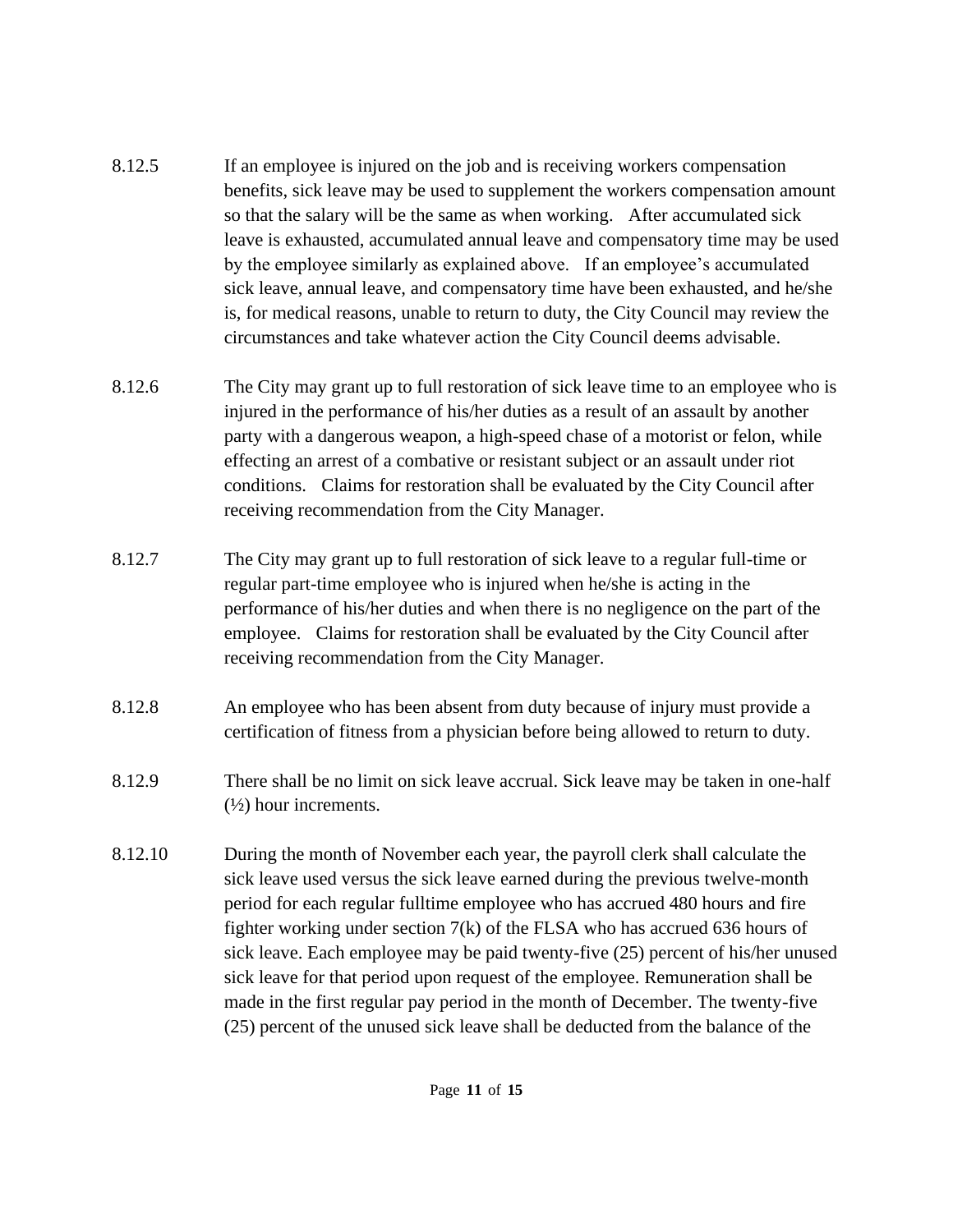- 8.12.5 If an employee is injured on the job and is receiving workers compensation benefits, sick leave may be used to supplement the workers compensation amount so that the salary will be the same as when working. After accumulated sick leave is exhausted, accumulated annual leave and compensatory time may be used by the employee similarly as explained above. If an employee's accumulated sick leave, annual leave, and compensatory time have been exhausted, and he/she is, for medical reasons, unable to return to duty, the City Council may review the circumstances and take whatever action the City Council deems advisable.
- 8.12.6 The City may grant up to full restoration of sick leave time to an employee who is injured in the performance of his/her duties as a result of an assault by another party with a dangerous weapon, a high-speed chase of a motorist or felon, while effecting an arrest of a combative or resistant subject or an assault under riot conditions. Claims for restoration shall be evaluated by the City Council after receiving recommendation from the City Manager.
- 8.12.7 The City may grant up to full restoration of sick leave to a regular full-time or regular part-time employee who is injured when he/she is acting in the performance of his/her duties and when there is no negligence on the part of the employee. Claims for restoration shall be evaluated by the City Council after receiving recommendation from the City Manager.
- 8.12.8 An employee who has been absent from duty because of injury must provide a certification of fitness from a physician before being allowed to return to duty.
- 8.12.9 There shall be no limit on sick leave accrual. Sick leave may be taken in one-half  $(\frac{1}{2})$  hour increments.
- 8.12.10 During the month of November each year, the payroll clerk shall calculate the sick leave used versus the sick leave earned during the previous twelve-month period for each regular fulltime employee who has accrued 480 hours and fire fighter working under section 7(k) of the FLSA who has accrued 636 hours of sick leave. Each employee may be paid twenty-five (25) percent of his/her unused sick leave for that period upon request of the employee. Remuneration shall be made in the first regular pay period in the month of December. The twenty-five (25) percent of the unused sick leave shall be deducted from the balance of the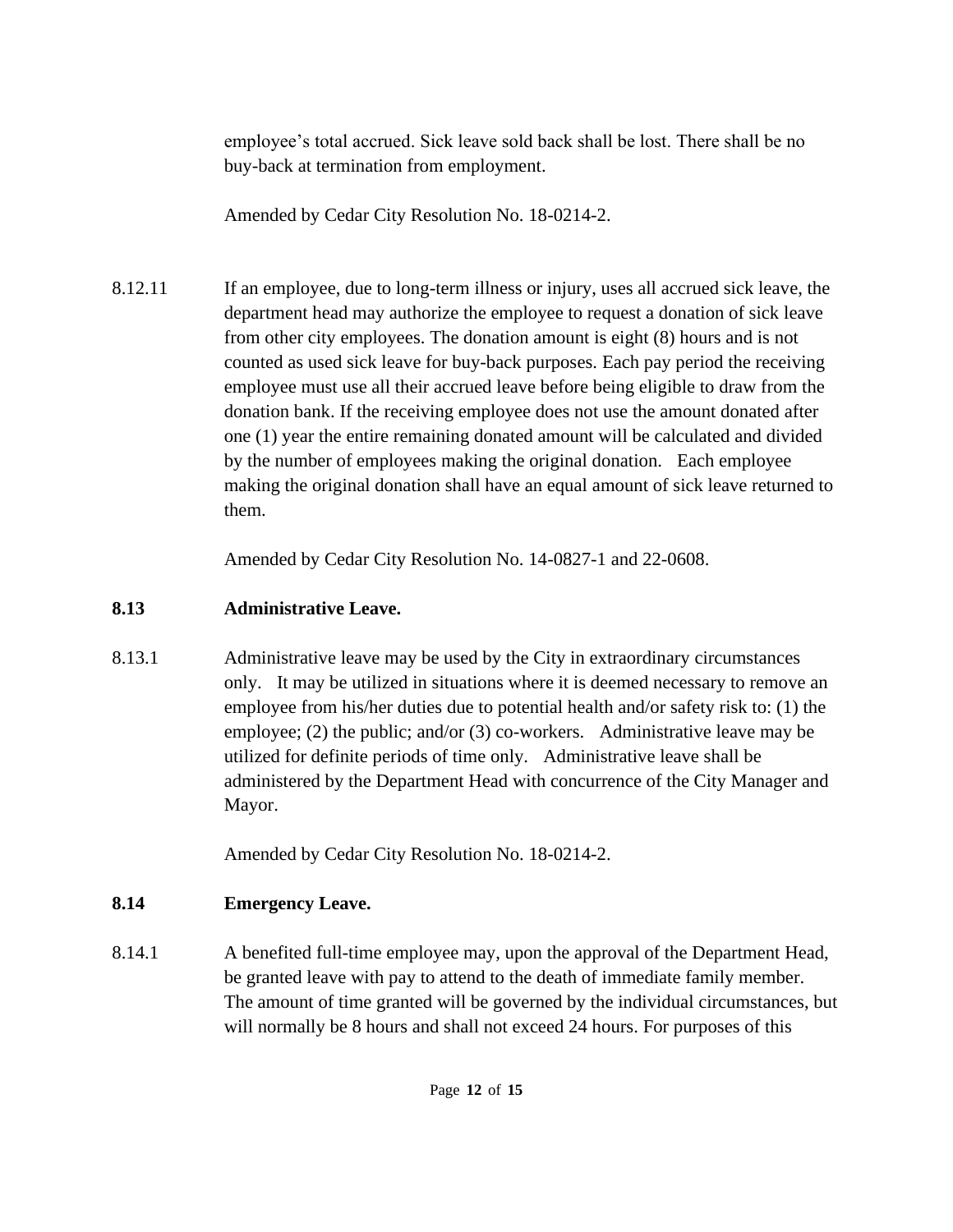employee's total accrued. Sick leave sold back shall be lost. There shall be no buy-back at termination from employment.

Amended by Cedar City Resolution No. 18-0214-2.

8.12.11 If an employee, due to long-term illness or injury, uses all accrued sick leave, the department head may authorize the employee to request a donation of sick leave from other city employees. The donation amount is eight (8) hours and is not counted as used sick leave for buy-back purposes. Each pay period the receiving employee must use all their accrued leave before being eligible to draw from the donation bank. If the receiving employee does not use the amount donated after one (1) year the entire remaining donated amount will be calculated and divided by the number of employees making the original donation. Each employee making the original donation shall have an equal amount of sick leave returned to them.

Amended by Cedar City Resolution No. 14-0827-1 and 22-0608.

# **8.13 Administrative Leave.**

8.13.1 Administrative leave may be used by the City in extraordinary circumstances only. It may be utilized in situations where it is deemed necessary to remove an employee from his/her duties due to potential health and/or safety risk to: (1) the employee; (2) the public; and/or (3) co-workers. Administrative leave may be utilized for definite periods of time only. Administrative leave shall be administered by the Department Head with concurrence of the City Manager and Mayor.

Amended by Cedar City Resolution No. 18-0214-2.

# **8.14 Emergency Leave.**

8.14.1 A benefited full-time employee may, upon the approval of the Department Head, be granted leave with pay to attend to the death of immediate family member. The amount of time granted will be governed by the individual circumstances, but will normally be 8 hours and shall not exceed 24 hours. For purposes of this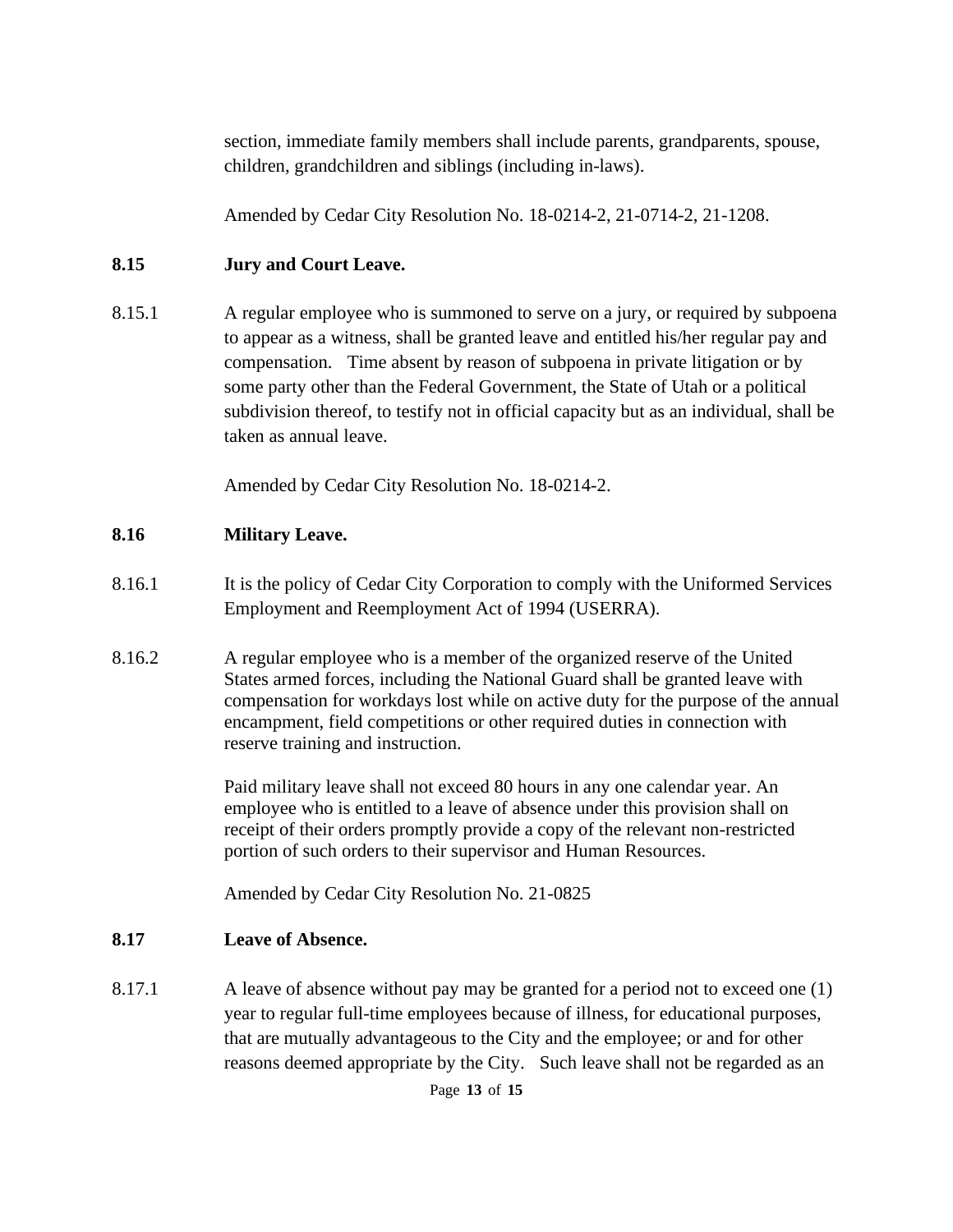section, immediate family members shall include parents, grandparents, spouse, children, grandchildren and siblings (including in-laws).

Amended by Cedar City Resolution No. 18-0214-2, 21-0714-2, 21-1208.

### **8.15 Jury and Court Leave.**

8.15.1 A regular employee who is summoned to serve on a jury, or required by subpoena to appear as a witness, shall be granted leave and entitled his/her regular pay and compensation. Time absent by reason of subpoena in private litigation or by some party other than the Federal Government, the State of Utah or a political subdivision thereof, to testify not in official capacity but as an individual, shall be taken as annual leave.

Amended by Cedar City Resolution No. 18-0214-2.

#### **8.16 Military Leave.**

- 8.16.1 It is the policy of Cedar City Corporation to comply with the Uniformed Services Employment and Reemployment Act of 1994 (USERRA).
- 8.16.2 A regular employee who is a member of the organized reserve of the United States armed forces, including the National Guard shall be granted leave with compensation for workdays lost while on active duty for the purpose of the annual encampment, field competitions or other required duties in connection with reserve training and instruction.

Paid military leave shall not exceed 80 hours in any one calendar year. An employee who is entitled to a leave of absence under this provision shall on receipt of their orders promptly provide a copy of the relevant non-restricted portion of such orders to their supervisor and Human Resources.

Amended by Cedar City Resolution No. 21-0825

### **8.17 Leave of Absence.**

8.17.1 A leave of absence without pay may be granted for a period not to exceed one (1) year to regular full-time employees because of illness, for educational purposes, that are mutually advantageous to the City and the employee; or and for other reasons deemed appropriate by the City. Such leave shall not be regarded as an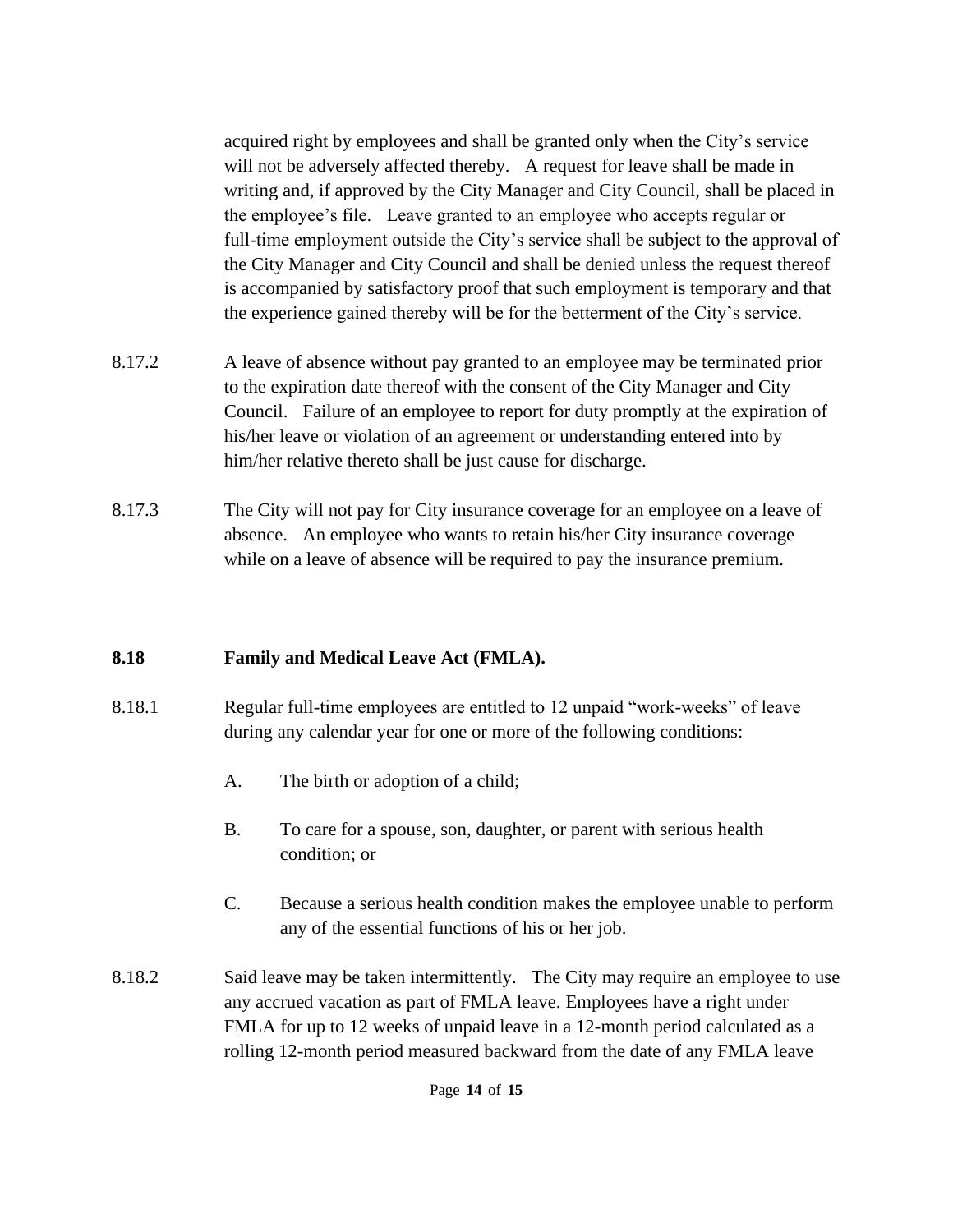acquired right by employees and shall be granted only when the City's service will not be adversely affected thereby. A request for leave shall be made in writing and, if approved by the City Manager and City Council, shall be placed in the employee's file. Leave granted to an employee who accepts regular or full-time employment outside the City's service shall be subject to the approval of the City Manager and City Council and shall be denied unless the request thereof is accompanied by satisfactory proof that such employment is temporary and that the experience gained thereby will be for the betterment of the City's service.

- 8.17.2 A leave of absence without pay granted to an employee may be terminated prior to the expiration date thereof with the consent of the City Manager and City Council. Failure of an employee to report for duty promptly at the expiration of his/her leave or violation of an agreement or understanding entered into by him/her relative thereto shall be just cause for discharge.
- 8.17.3 The City will not pay for City insurance coverage for an employee on a leave of absence. An employee who wants to retain his/her City insurance coverage while on a leave of absence will be required to pay the insurance premium.

### **8.18 Family and Medical Leave Act (FMLA).**

- 8.18.1 Regular full-time employees are entitled to 12 unpaid "work-weeks" of leave during any calendar year for one or more of the following conditions:
	- A. The birth or adoption of a child;
	- B. To care for a spouse, son, daughter, or parent with serious health condition; or
	- C. Because a serious health condition makes the employee unable to perform any of the essential functions of his or her job.
- 8.18.2 Said leave may be taken intermittently. The City may require an employee to use any accrued vacation as part of FMLA leave. Employees have a right under FMLA for up to 12 weeks of unpaid leave in a 12-month period calculated as a rolling 12-month period measured backward from the date of any FMLA leave